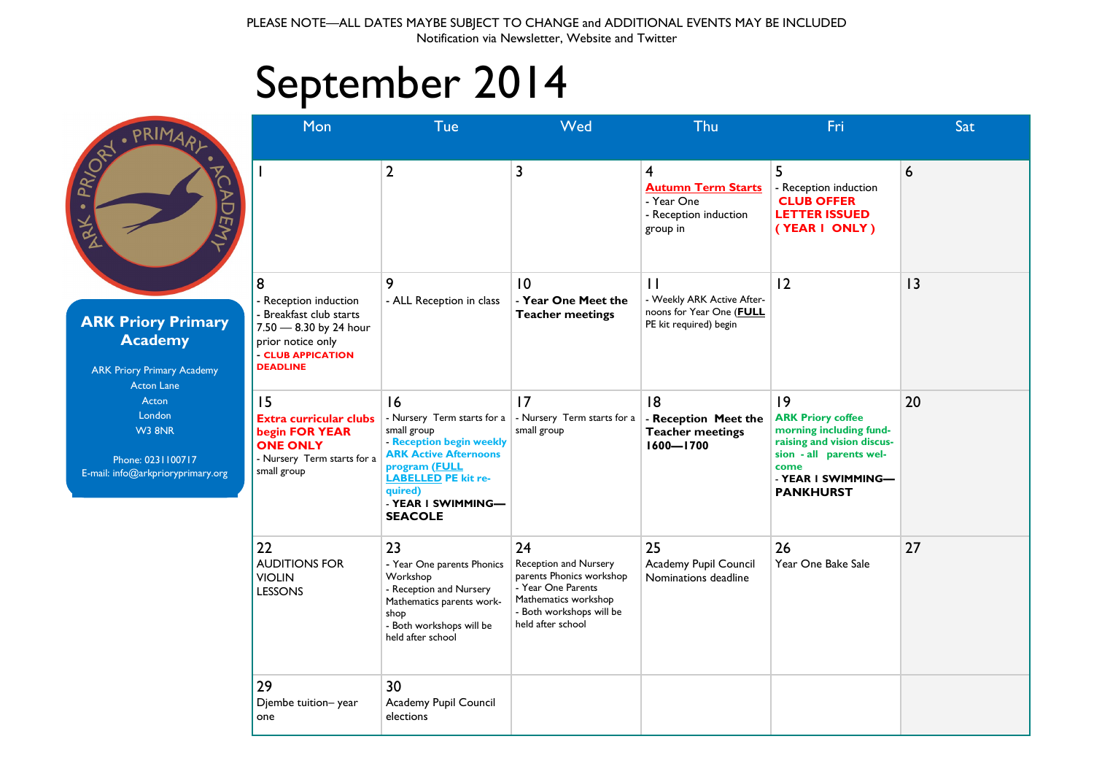## September 2014

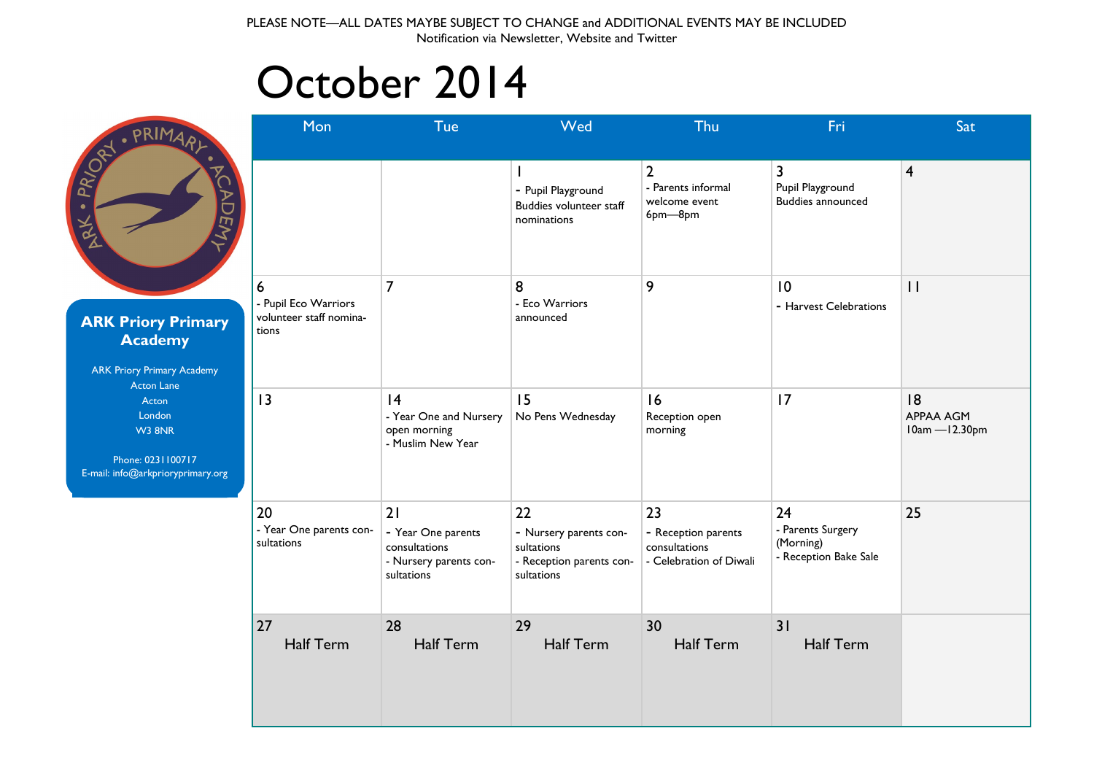### October 2014

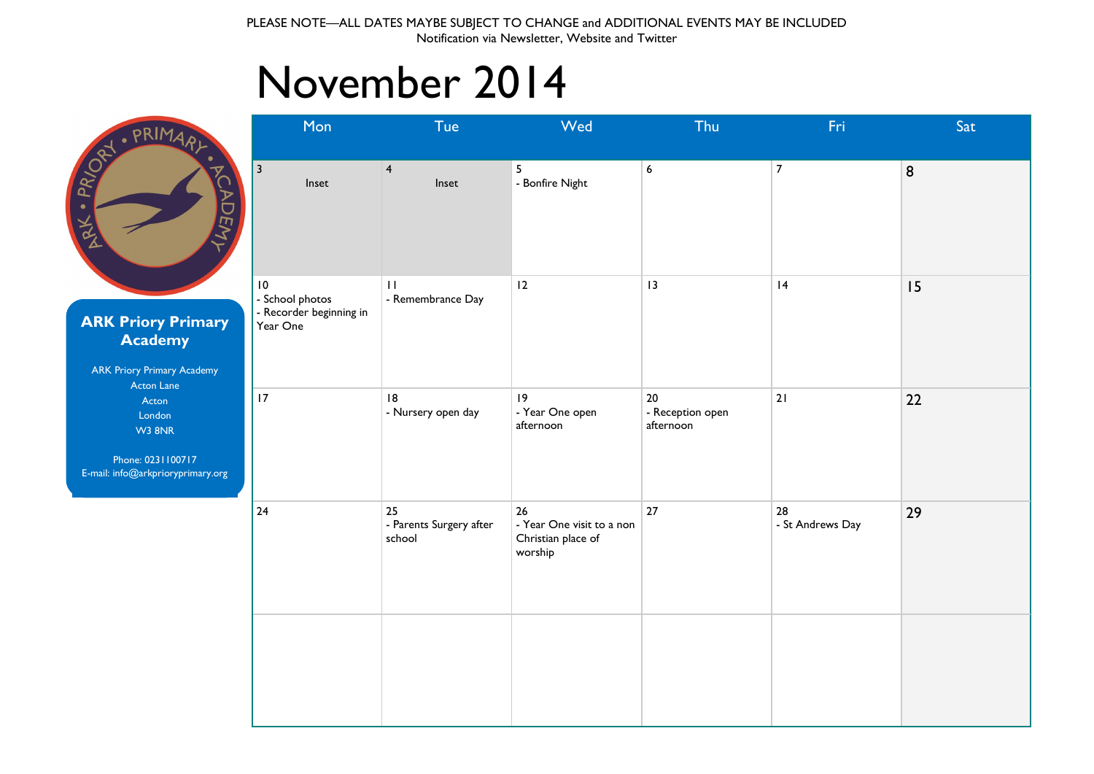## November 2014

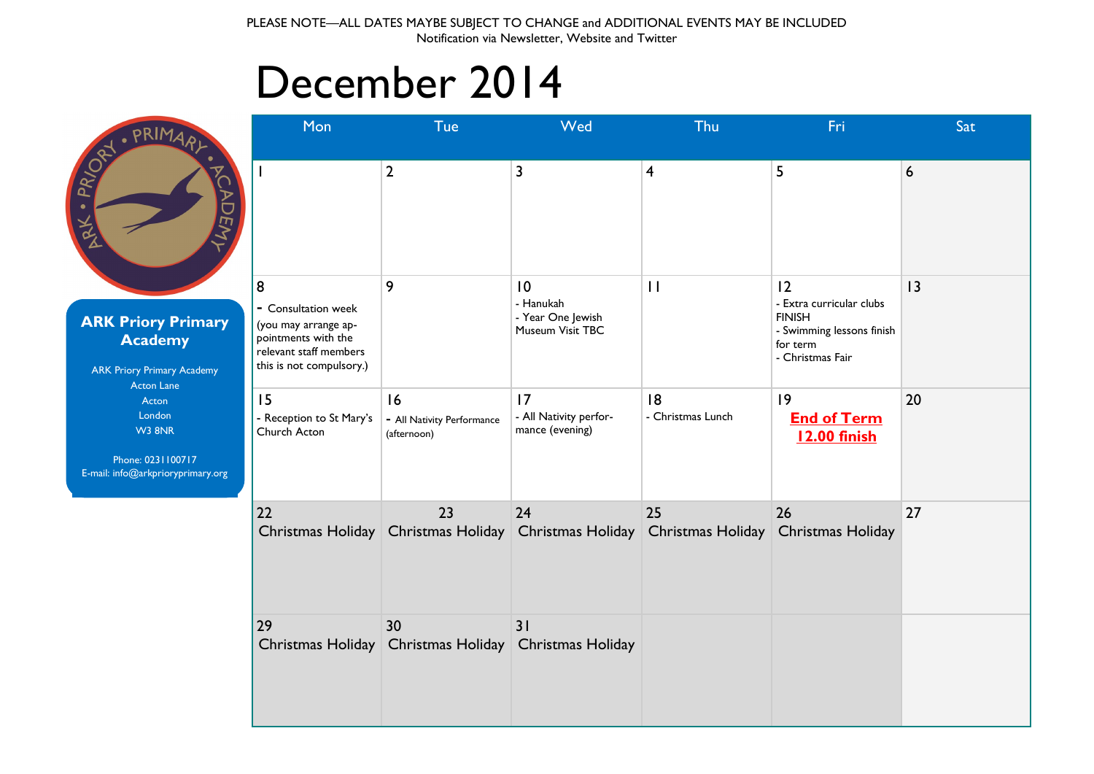## December 2014

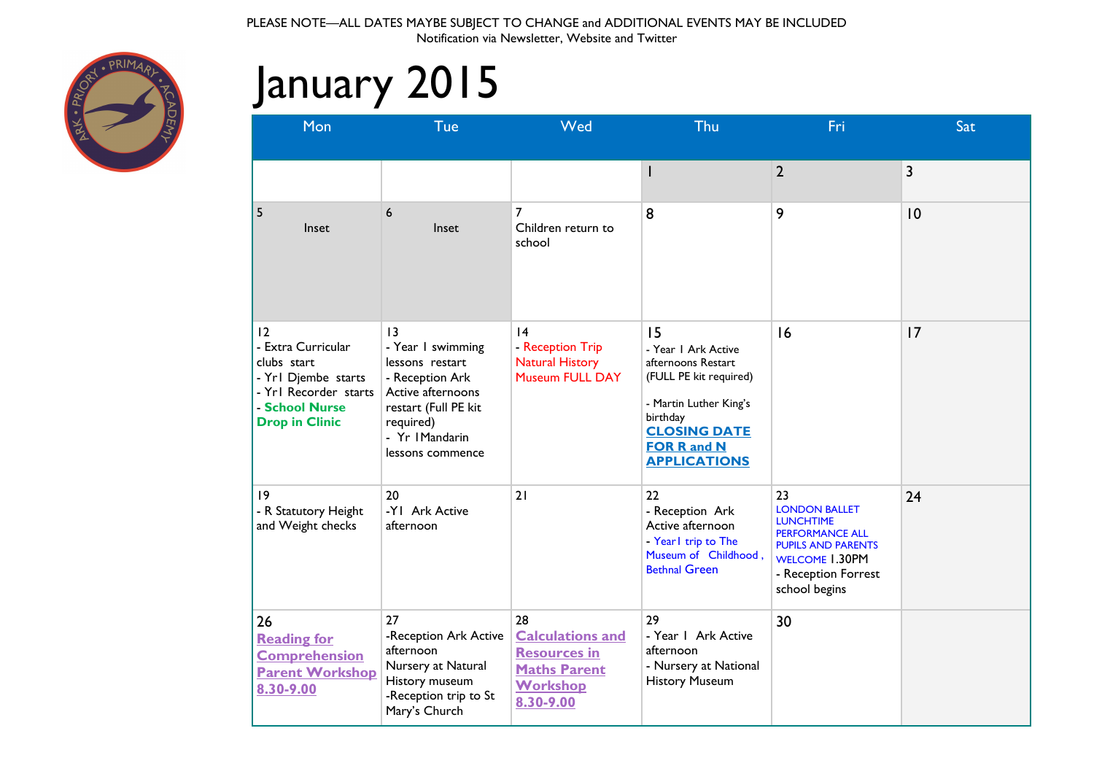

# January 2015

| Mon                                                                                                                                | Tue                                                                                                                                                           | Wed                                                                                                         | Thu                                                                                                                                                                                 | Fri                                                                                                                                                                    | Sat         |
|------------------------------------------------------------------------------------------------------------------------------------|---------------------------------------------------------------------------------------------------------------------------------------------------------------|-------------------------------------------------------------------------------------------------------------|-------------------------------------------------------------------------------------------------------------------------------------------------------------------------------------|------------------------------------------------------------------------------------------------------------------------------------------------------------------------|-------------|
|                                                                                                                                    |                                                                                                                                                               |                                                                                                             | I                                                                                                                                                                                   | $\overline{2}$                                                                                                                                                         | 3           |
| 5<br>Inset                                                                                                                         | 6<br>Inset                                                                                                                                                    | 7<br>Children return to<br>school                                                                           | 8                                                                                                                                                                                   | 9                                                                                                                                                                      | $ 0\rangle$ |
| 12<br>- Extra Curricular<br>clubs start<br>- Yrl Djembe starts<br>- Yrl Recorder starts<br>- School Nurse<br><b>Drop in Clinic</b> | 13<br>- Year I swimming<br>lessons restart<br>- Reception Ark<br>Active afternoons<br>restart (Full PE kit<br>required)<br>- Yr IMandarin<br>lessons commence | 4<br>- Reception Trip<br><b>Natural History</b><br>Museum FULL DAY                                          | 15<br>- Year I Ark Active<br>afternoons Restart<br>(FULL PE kit required)<br>- Martin Luther King's<br>birthday<br><b>CLOSING DATE</b><br><b>FOR R and N</b><br><b>APPLICATIONS</b> | 16                                                                                                                                                                     | 17          |
| 9<br>- R Statutory Height<br>and Weight checks                                                                                     | 20<br>-YI Ark Active<br>afternoon                                                                                                                             | 21                                                                                                          | 22<br>- Reception Ark<br>Active afternoon<br>- Yearl trip to The<br>Museum of Childhood,<br><b>Bethnal Green</b>                                                                    | 23<br><b>LONDON BALLET</b><br><b>LUNCHTIME</b><br><b>PERFORMANCE ALL</b><br><b>PUPILS AND PARENTS</b><br><b>WELCOME 1.30PM</b><br>- Reception Forrest<br>school begins | 24          |
| 26<br><b>Reading for</b><br><b>Comprehension</b><br><b>Parent Workshop</b><br>8.30-9.00                                            | 27<br>-Reception Ark Active<br>afternoon<br>Nursery at Natural<br>History museum<br>-Reception trip to St<br>Mary's Church                                    | 28<br><b>Calculations and</b><br><b>Resources in</b><br><b>Maths Parent</b><br><b>Workshop</b><br>8.30-9.00 | 29<br>- Year I Ark Active<br>afternoon<br>- Nursery at National<br><b>History Museum</b>                                                                                            | 30                                                                                                                                                                     |             |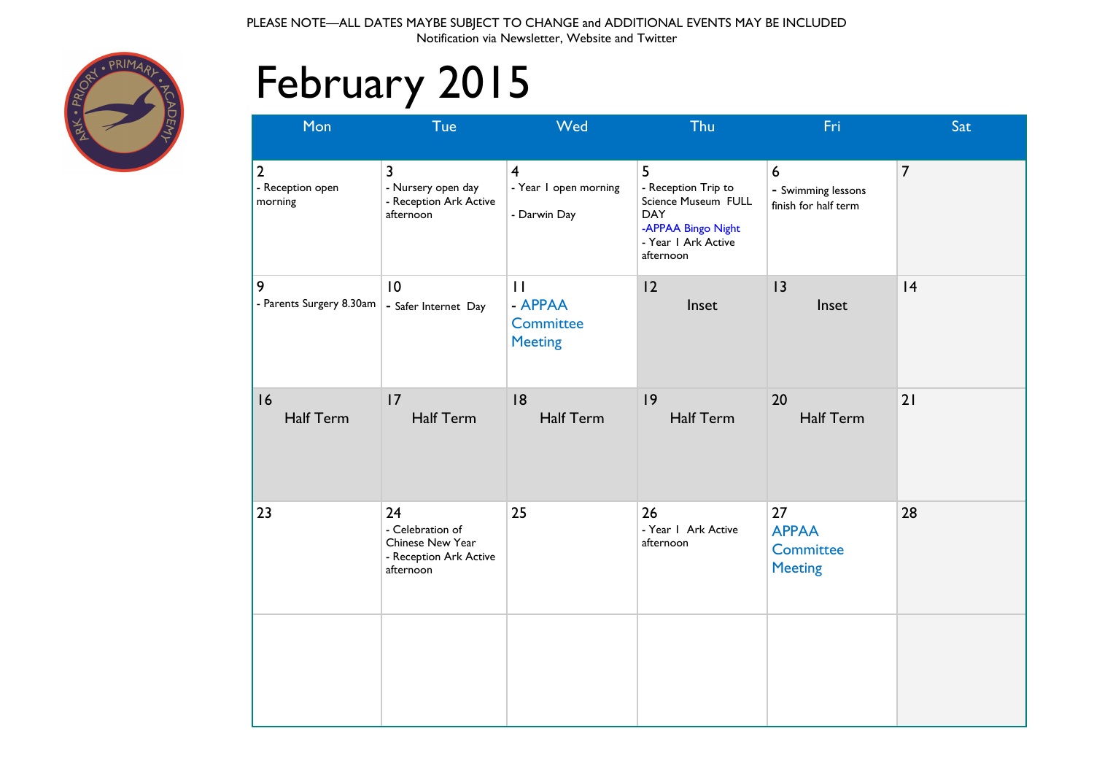

# February 2015

| Mon                                           | Tue                                                                               | Wed                                                              | Thu                                                                                                                     | Fri                                                            | Sat            |
|-----------------------------------------------|-----------------------------------------------------------------------------------|------------------------------------------------------------------|-------------------------------------------------------------------------------------------------------------------------|----------------------------------------------------------------|----------------|
| $\overline{2}$<br>- Reception open<br>morning | 3<br>- Nursery open day<br>- Reception Ark Active<br>afternoon                    | $\overline{\mathbf{4}}$<br>- Year I open morning<br>- Darwin Day | 5<br>- Reception Trip to<br>Science Museum FULL<br><b>DAY</b><br>-APPAA Bingo Night<br>- Year I Ark Active<br>afternoon | $\boldsymbol{6}$<br>- Swimming lessons<br>finish for half term | $\overline{7}$ |
| 9<br>- Parents Surgery 8.30am                 | 10<br>- Safer Internet Day                                                        | $\mathbf{1}$<br>- APPAA<br>Committee<br><b>Meeting</b>           | 12<br>Inset                                                                                                             | 3<br>Inset                                                     | 4              |
| 16<br><b>Half Term</b>                        | 17<br><b>Half Term</b>                                                            | 18<br><b>Half Term</b>                                           | 9<br><b>Half Term</b>                                                                                                   | 20<br><b>Half Term</b>                                         | 21             |
| 23                                            | 24<br>- Celebration of<br>Chinese New Year<br>- Reception Ark Active<br>afternoon | 25                                                               | 26<br>- Year I Ark Active<br>afternoon                                                                                  | 27<br><b>APPAA</b><br>Committee<br><b>Meeting</b>              | 28             |
|                                               |                                                                                   |                                                                  |                                                                                                                         |                                                                |                |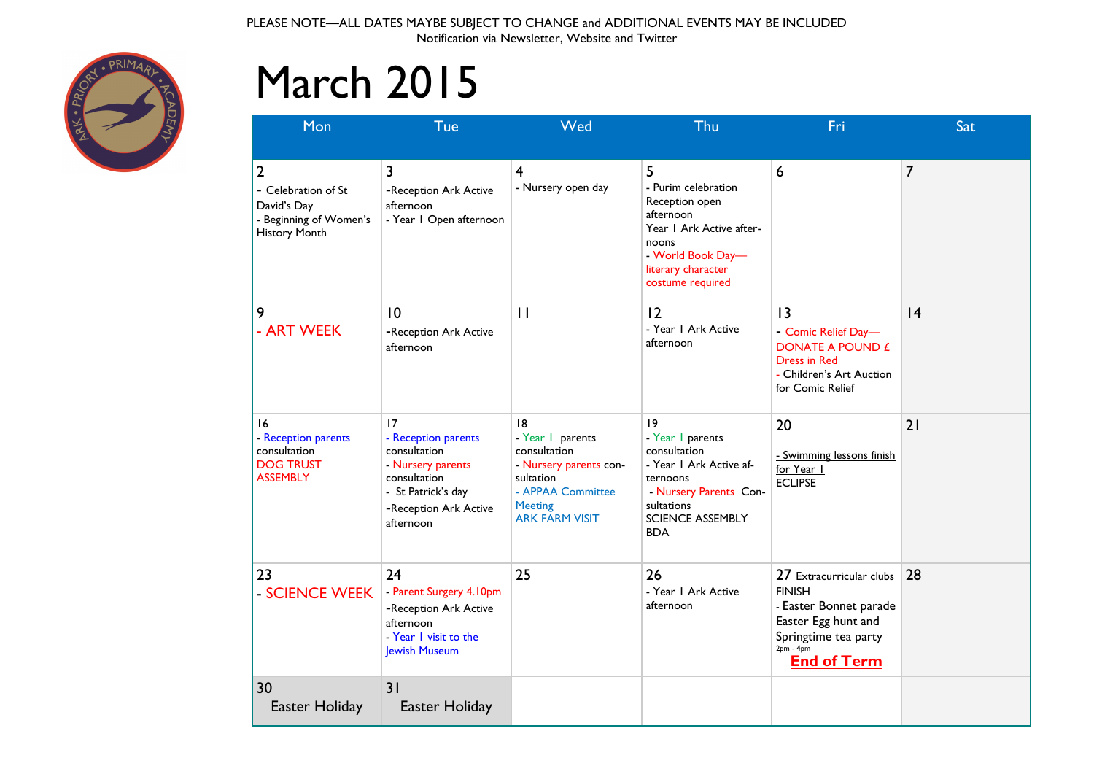

## March 2015

| Mon                                                                                                    | Tue                                                                                                                                        | Wed                                                                                                                                          | Thu                                                                                                                                                           | Fri                                                                                                                                                     | Sat |
|--------------------------------------------------------------------------------------------------------|--------------------------------------------------------------------------------------------------------------------------------------------|----------------------------------------------------------------------------------------------------------------------------------------------|---------------------------------------------------------------------------------------------------------------------------------------------------------------|---------------------------------------------------------------------------------------------------------------------------------------------------------|-----|
| $\overline{2}$<br>- Celebration of St<br>David's Day<br>- Beginning of Women's<br><b>History Month</b> | 3<br>-Reception Ark Active<br>afternoon<br>- Year I Open afternoon                                                                         | $\overline{4}$<br>- Nursery open day                                                                                                         | 5<br>- Purim celebration<br>Reception open<br>afternoon<br>Year I Ark Active after-<br>noons<br>- World Book Day-<br>literary character<br>costume required   | 6                                                                                                                                                       | 7   |
| 9<br>- ART WEEK                                                                                        | 10<br>-Reception Ark Active<br>afternoon                                                                                                   | $\mathbf{I}$                                                                                                                                 | 12<br>- Year I Ark Active<br>afternoon                                                                                                                        | 3<br>- Comic Relief Day-<br><b>DONATE A POUND £</b><br><b>Dress in Red</b><br>- Children's Art Auction<br>for Comic Relief                              | 4   |
| 16<br>- Reception parents<br>consultation<br><b>DOG TRUST</b><br><b>ASSEMBLY</b>                       | 17<br>- Reception parents<br>consultation<br>- Nursery parents<br>consultation<br>- St Patrick's day<br>-Reception Ark Active<br>afternoon | 8<br>- Year I parents<br>consultation<br>- Nursery parents con-<br>sultation<br>- APPAA Committee<br><b>Meeting</b><br><b>ARK FARM VISIT</b> | 9<br>- Year I parents<br>consultation<br>- Year 1 Ark Active af-<br>ternoons<br>- Nursery Parents Con-<br>sultations<br><b>SCIENCE ASSEMBLY</b><br><b>BDA</b> | 20<br>- Swimming lessons finish<br>for Year 1<br><b>ECLIPSE</b>                                                                                         | 21  |
| 23<br>- SCIENCE WEEK                                                                                   | 24<br>- Parent Surgery 4.10pm<br>-Reception Ark Active<br>afternoon<br>- Year I visit to the<br>Jewish Museum                              | 25                                                                                                                                           | 26<br>- Year I Ark Active<br>afternoon                                                                                                                        | 27 Extracurricular clubs<br><b>FINISH</b><br>- Easter Bonnet parade<br>Easter Egg hunt and<br>Springtime tea party<br>$2pm - 4pm$<br><b>End of Term</b> | 28  |
| 30<br>Easter Holiday                                                                                   | 31<br>Easter Holiday                                                                                                                       |                                                                                                                                              |                                                                                                                                                               |                                                                                                                                                         |     |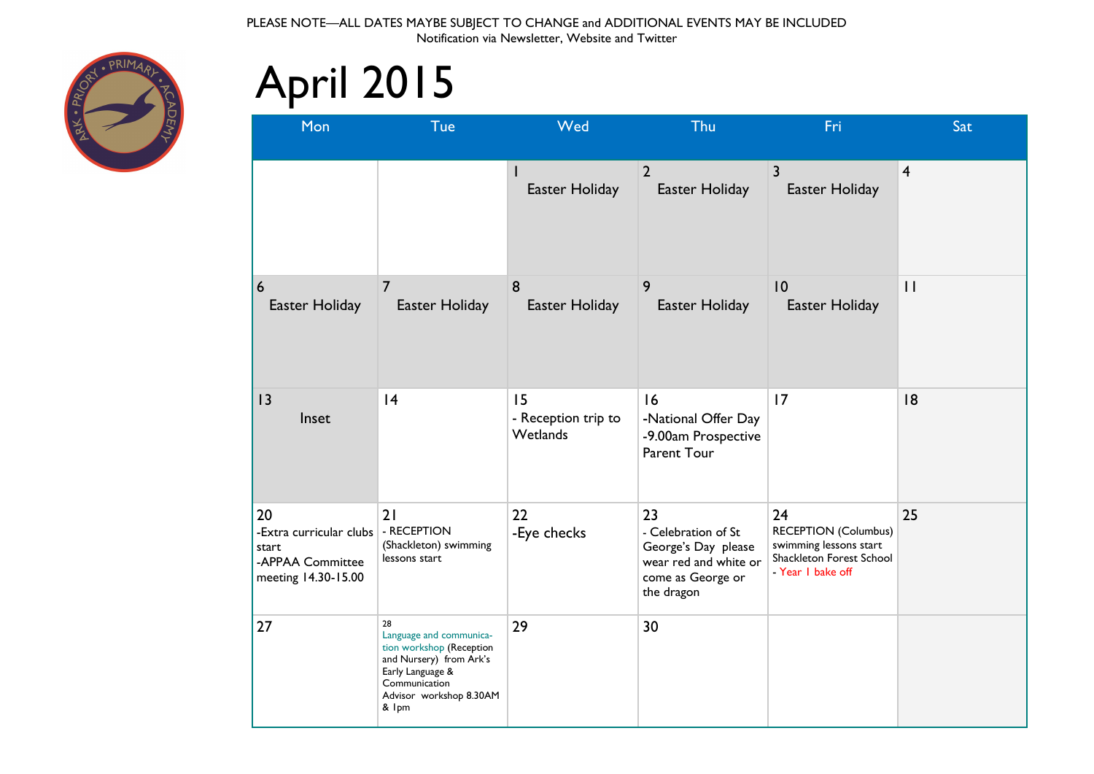

# April 2015

| Mon                                                                                             | Tue                                                                                                                                                           | Wed                                   | Thu                                                                                                          | Fri                                                                                                          | Sat            |
|-------------------------------------------------------------------------------------------------|---------------------------------------------------------------------------------------------------------------------------------------------------------------|---------------------------------------|--------------------------------------------------------------------------------------------------------------|--------------------------------------------------------------------------------------------------------------|----------------|
|                                                                                                 |                                                                                                                                                               | I<br>Easter Holiday                   | $\overline{2}$<br>Easter Holiday                                                                             | $\overline{\mathbf{3}}$<br>Easter Holiday                                                                    | $\overline{4}$ |
| 6<br>Easter Holiday                                                                             | $\overline{7}$<br>Easter Holiday                                                                                                                              | 8<br>Easter Holiday                   | 9<br>Easter Holiday                                                                                          | 10<br>Easter Holiday                                                                                         | $\mathbf{1}$   |
| 13<br>Inset                                                                                     | 4                                                                                                                                                             | 15<br>- Reception trip to<br>Wetlands | 16<br>-National Offer Day<br>-9.00am Prospective<br>Parent Tour                                              | 17                                                                                                           | 18             |
| 20<br>-Extra curricular clubs   - RECEPTION<br>start<br>-APPAA Committee<br>meeting 14.30-15.00 | 21<br>(Shackleton) swimming<br>lessons start                                                                                                                  | 22<br>-Eye checks                     | 23<br>- Celebration of St<br>George's Day please<br>wear red and white or<br>come as George or<br>the dragon | 24<br><b>RECEPTION (Columbus)</b><br>swimming lessons start<br>Shackleton Forest School<br>- Year I bake off | 25             |
| 27                                                                                              | 28<br>Language and communica-<br>tion workshop (Reception<br>and Nursery) from Ark's<br>Early Language &<br>Communication<br>Advisor workshop 8.30AM<br>& Ipm | 29                                    | 30                                                                                                           |                                                                                                              |                |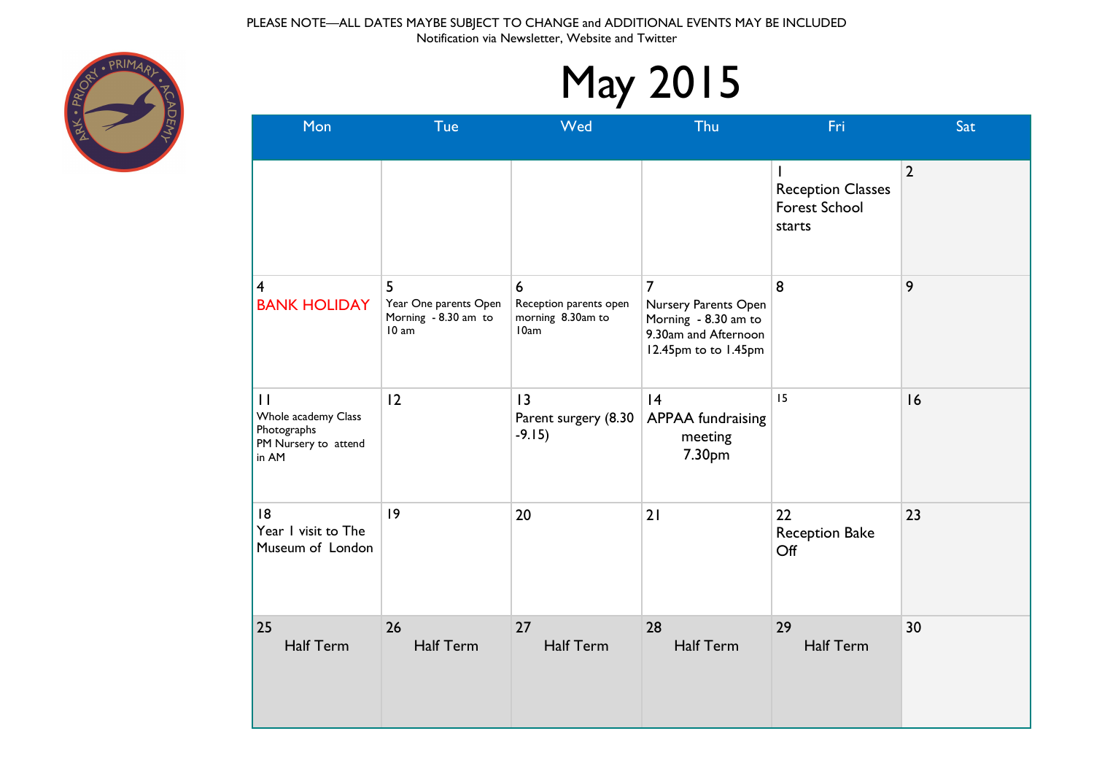

| <b>May 2015</b>                                                                     |                                                             |                                                                       |                                                                                                                |                                                            |                |  |
|-------------------------------------------------------------------------------------|-------------------------------------------------------------|-----------------------------------------------------------------------|----------------------------------------------------------------------------------------------------------------|------------------------------------------------------------|----------------|--|
| Mon                                                                                 | Tue                                                         | Wed                                                                   | Thu                                                                                                            | Fri                                                        | Sat            |  |
|                                                                                     |                                                             |                                                                       |                                                                                                                | <b>Reception Classes</b><br><b>Forest School</b><br>starts | $\overline{2}$ |  |
| 4<br><b>BANK HOLIDAY</b>                                                            | 5<br>Year One parents Open<br>Morning - 8.30 am to<br>10 am | $6\phantom{1}$<br>Reception parents open<br>morning 8.30am to<br>10am | $\overline{7}$<br>Nursery Parents Open<br>Morning - 8.30 am to<br>9.30am and Afternoon<br>12.45pm to to 1.45pm | 8                                                          | 9              |  |
| $\mathbf{I}$<br>Whole academy Class<br>Photographs<br>PM Nursery to attend<br>in AM | 12                                                          | $\overline{13}$<br>Parent surgery (8.30<br>$-9.15)$                   | 4<br><b>APPAA</b> fundraising<br>meeting<br>7.30pm                                                             | 15                                                         | 16             |  |
| 18<br>Year I visit to The<br>Museum of London                                       | 9                                                           | 20                                                                    | 21                                                                                                             | 22<br>Reception Bake<br>Off                                | 23             |  |
| 25<br><b>Half Term</b>                                                              | 26<br><b>Half Term</b>                                      | 27<br><b>Half Term</b>                                                | 28<br><b>Half Term</b>                                                                                         | 29<br>Half Term                                            | 30             |  |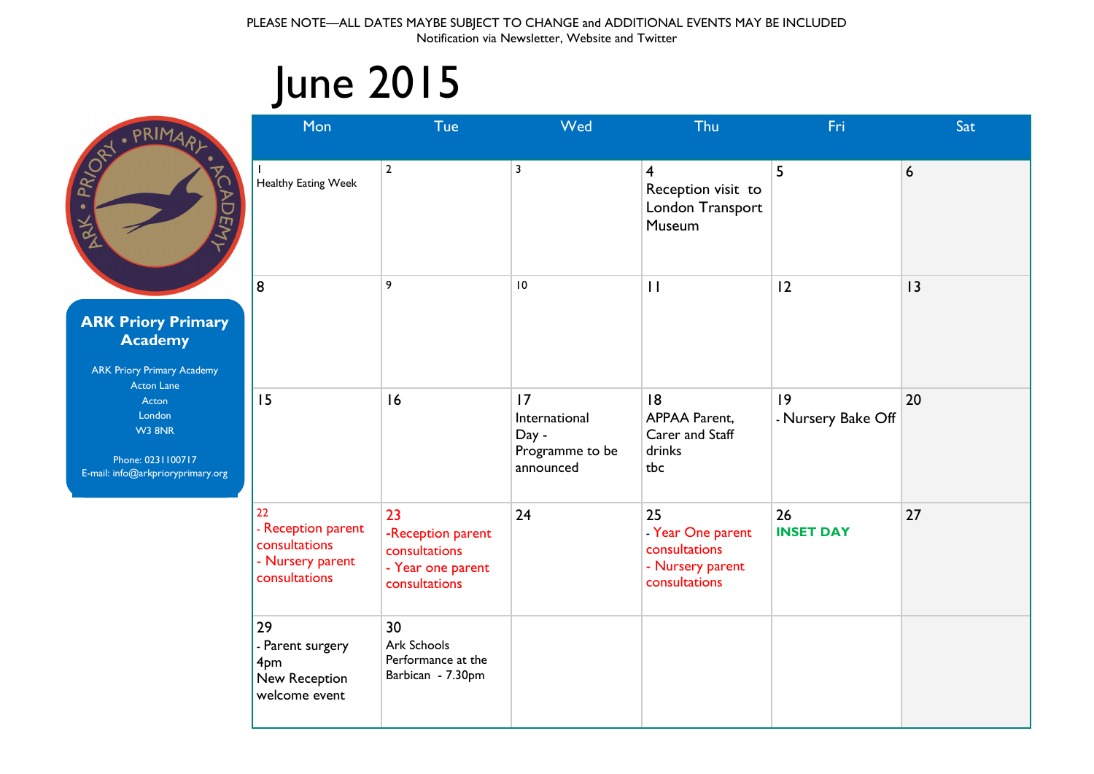## June 2015



| Mon                                                                            | Tue                                                                            | Wed                                                          | Thu                                                                           | Fri                               | Sat |
|--------------------------------------------------------------------------------|--------------------------------------------------------------------------------|--------------------------------------------------------------|-------------------------------------------------------------------------------|-----------------------------------|-----|
| Healthy Eating Week                                                            | $\overline{2}$                                                                 | 3                                                            | $\overline{4}$<br>Reception visit to<br>London Transport<br>Museum            | 5                                 | 6   |
| 8                                                                              | 9                                                                              | $\overline{10}$                                              | $\mathbf{1}$                                                                  | 12                                | 3   |
| 15                                                                             | 16                                                                             | 17<br>International<br>Day -<br>Programme to be<br>announced | 8<br><b>APPAA Parent,</b><br>Carer and Staff<br>drinks<br>tbc                 | $ 9\rangle$<br>- Nursery Bake Off | 20  |
| 22<br>- Reception parent<br>consultations<br>- Nursery parent<br>consultations | 23<br>-Reception parent<br>consultations<br>- Year one parent<br>consultations | 24                                                           | 25<br>- Year One parent<br>consultations<br>- Nursery parent<br>consultations | 26<br><b>INSET DAY</b>            | 27  |
| 29<br>- Parent surgery<br>4pm<br>New Reception<br>welcome event                | 30<br>Ark Schools<br>Performance at the<br>Barbican - 7.30pm                   |                                                              |                                                                               |                                   |     |